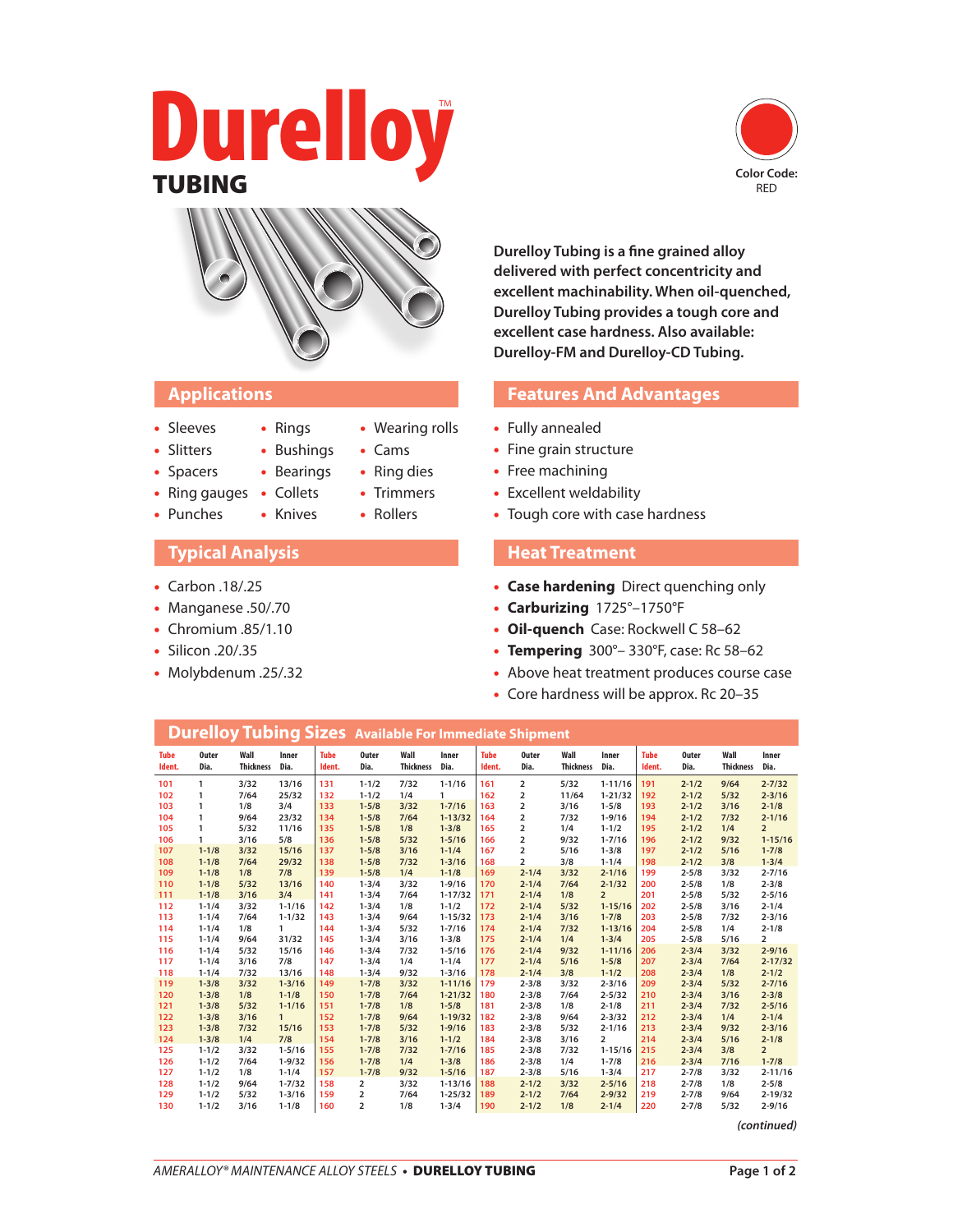# Durelloy **TUBING** Color Code:





## **Applications**

- Sleeves
- Bushings
- Slitters • Spacers
- Bearings

• Rings

- Ring gauges Collets • Punches • Knives
- 

## **Typical Analysis**

- Carbon .18/.25
- Manganese .50/.70
- Chromium .85/1.10
- Silicon .20/.35
- Molybdenum .25/.32

**Durelloy Tubing is a fine grained alloy delivered with perfect concentricity and excellent machinability. When oil-quenched, Durelloy Tubing provides a tough core and excellent case hardness. Also available: Durelloy-FM and Durelloy-CD Tubing.**

### **Features And Advantages**

- Fully annealed
- Fine grain structure
- Free machining
- Excellent weldability
- Tough core with case hardness

### **Heat Treatment**

- • **Case hardening** Direct quenching only
- • **Carburizing** 1725°–1750°F
- • **Oil-quench** Case: Rockwell C 58–62
- • **Tempering** 300°– 330°F, case: Rc 58–62
- Above heat treatment produces course case
- Core hardness will be approx. Rc 20–35

|                       |                      |                          |               |                       | <b>Durelloy Tubing Sizes</b> Available For Immediate Shipment |                          |               |                       |                      |                          |                |                       |                      |                          |                |
|-----------------------|----------------------|--------------------------|---------------|-----------------------|---------------------------------------------------------------|--------------------------|---------------|-----------------------|----------------------|--------------------------|----------------|-----------------------|----------------------|--------------------------|----------------|
| <b>Tube</b><br>Ident. | <b>Outer</b><br>Dia. | Wall<br><b>Thickness</b> | Inner<br>Dia. | <b>Tube</b><br>Ident. | <b>Outer</b><br>Dia.                                          | Wall<br><b>Thickness</b> | Inner<br>Dia. | <b>Tube</b><br>Ident. | <b>Outer</b><br>Dia. | Wall<br><b>Thickness</b> | Inner<br>Dia.  | <b>Tube</b><br>Ident. | <b>Outer</b><br>Dia. | Wall<br><b>Thickness</b> | Inner<br>Dia.  |
| 101                   | 1                    | 3/32                     | 13/16         | 131                   | $1 - 1/2$                                                     | 7/32                     | $1 - 1/16$    | 161                   | $\overline{2}$       | 5/32                     | $1 - 11/16$    | 191                   | $2 - 1/2$            | 9/64                     | $2 - 7/32$     |
| 102                   | 1                    | 7/64                     | 25/32         | 132                   | $1 - 1/2$                                                     | 1/4                      | 1             | 162                   | $\overline{2}$       | 11/64                    | $1 - 21/32$    | 192                   | $2 - 1/2$            | 5/32                     | $2 - 3/16$     |
| 103                   | 1                    | 1/8                      | 3/4           | 133                   | $1 - 5/8$                                                     | 3/32                     | $1 - 7/16$    | 163                   | $\overline{2}$       | 3/16                     | $1 - 5/8$      | 193                   | $2 - 1/2$            | 3/16                     | $2 - 1/8$      |
| 104                   | 1                    | 9/64                     | 23/32         | 134                   | $1 - 5/8$                                                     | 7/64                     | $1 - 13/32$   | 164                   | $\overline{2}$       | 7/32                     | $1 - 9/16$     | 194                   | $2 - 1/2$            | 7/32                     | $2 - 1/16$     |
| 105                   | 1                    | 5/32                     | 11/16         | 135                   | $1 - 5/8$                                                     | 1/8                      | $1 - 3/8$     | 165                   | $\overline{2}$       | 1/4                      | $1 - 1/2$      | 195                   | $2 - 1/2$            | 1/4                      | $\overline{2}$ |
| 106                   | 1                    | 3/16                     | 5/8           | 136                   | $1 - 5/8$                                                     | 5/32                     | $1 - 5/16$    | 166                   | $\overline{2}$       | 9/32                     | $1 - 7/16$     | 196                   | $2 - 1/2$            | 9/32                     | $1 - 15/16$    |
| 107                   | $1 - 1/8$            | 3/32                     | 15/16         | 137                   | $1 - 5/8$                                                     | 3/16                     | $1 - 1/4$     | 167                   | $\overline{2}$       | 5/16                     | $1 - 3/8$      | 197                   | $2 - 1/2$            | 5/16                     | $1 - 7/8$      |
| 108                   | $1 - 1/8$            | 7/64                     | 29/32         | 138                   | $1 - 5/8$                                                     | 7/32                     | $1 - 3/16$    | 168                   | $\overline{2}$       | 3/8                      | $1 - 1/4$      | 198                   | $2 - 1/2$            | 3/8                      | $1 - 3/4$      |
| 109                   | $1 - 1/8$            | 1/8                      | 7/8           | 139                   | $1 - 5/8$                                                     | 1/4                      | $1 - 1/8$     | 169                   | $2 - 1/4$            | 3/32                     | $2 - 1/16$     | 199                   | $2 - 5/8$            | 3/32                     | $2 - 7/16$     |
| 110                   | $1 - 1/8$            | 5/32                     | 13/16         | 140                   | $1 - 3/4$                                                     | 3/32                     | $1 - 9/16$    | 170                   | $2 - 1/4$            | 7/64                     | $2 - 1/32$     | 200                   | $2 - 5/8$            | 1/8                      | $2 - 3/8$      |
| 111                   | $1 - 1/8$            | 3/16                     | 3/4           | 141                   | $1 - 3/4$                                                     | 7/64                     | $1 - 17/32$   | 171                   | $2 - 1/4$            | 1/8                      | $\overline{2}$ | 201                   | $2 - 5/8$            | 5/32                     | $2 - 5/16$     |
| 112                   | $1 - 1/4$            | 3/32                     | $1 - 1/16$    | 142                   | $1 - 3/4$                                                     | 1/8                      | $1 - 1/2$     | 172                   | $2 - 1/4$            | 5/32                     | $1 - 15/16$    | 202                   | $2 - 5/8$            | 3/16                     | $2 - 1/4$      |
| 113                   | $1 - 1/4$            | 7/64                     | $1 - 1/32$    | 143                   | $1 - 3/4$                                                     | 9/64                     | $1 - 15/32$   | 173                   | $2 - 1/4$            | 3/16                     | $1 - 7/8$      | 203                   | $2 - 5/8$            | 7/32                     | $2 - 3/16$     |
| 114                   | $1 - 1/4$            | 1/8                      | 1             | 144                   | $1 - 3/4$                                                     | 5/32                     | $1 - 7/16$    | 174                   | $2 - 1/4$            | 7/32                     | $1 - 13/16$    | 204                   | $2 - 5/8$            | 1/4                      | $2 - 1/8$      |
| 115                   | $1 - 1/4$            | 9/64                     | 31/32         | 145                   | $1 - 3/4$                                                     | 3/16                     | $1 - 3/8$     | 175                   | $2 - 1/4$            | 1/4                      | $1 - 3/4$      | 205                   | $2 - 5/8$            | 5/16                     | $\overline{2}$ |
| 116                   | $1 - 1/4$            | 5/32                     | 15/16         | 146                   | $1 - 3/4$                                                     | 7/32                     | $1 - 5/16$    | 176                   | $2 - 1/4$            | 9/32                     | $1 - 11/16$    | 206                   | $2 - 3/4$            | 3/32                     | $2 - 9/16$     |
| 117                   | $1 - 1/4$            | 3/16                     | 7/8           | 147                   | $1 - 3/4$                                                     | 1/4                      | $1 - 1/4$     | 177                   | $2 - 1/4$            | 5/16                     | $1 - 5/8$      | 207                   | $2 - 3/4$            | 7/64                     | $2 - 17/32$    |
| 118                   | $1 - 1/4$            | 7/32                     | 13/16         | 148                   | $1 - 3/4$                                                     | 9/32                     | $1 - 3/16$    | 178                   | $2 - 1/4$            | 3/8                      | $1 - 1/2$      | 208                   | $2 - 3/4$            | 1/8                      | $2 - 1/2$      |
| 119                   | $1 - 3/8$            | 3/32                     | $1 - 3/16$    | 149                   | $1 - 7/8$                                                     | 3/32                     | $1 - 11/16$   | 179                   | $2 - 3/8$            | 3/32                     | $2 - 3/16$     | 209                   | $2 - 3/4$            | 5/32                     | $2 - 7/16$     |
| 120                   | $1 - 3/8$            | 1/8                      | $1 - 1/8$     | 150                   | $1 - 7/8$                                                     | 7/64                     | $1 - 21/32$   | 180                   | $2 - 3/8$            | 7/64                     | $2 - 5/32$     | 210                   | $2 - 3/4$            | 3/16                     | $2 - 3/8$      |
| 121                   | $1 - 3/8$            | 5/32                     | $1 - 1/16$    | 151                   | $1 - 7/8$                                                     | 1/8                      | $1 - 5/8$     | 181                   | $2 - 3/8$            | 1/8                      | $2 - 1/8$      | 211                   | $2 - 3/4$            | 7/32                     | $2 - 5/16$     |
| 122                   | $1 - 3/8$            | 3/16                     | $\mathbf{1}$  | 152                   | $1 - 7/8$                                                     | 9/64                     | $1 - 19/32$   | 182                   | $2 - 3/8$            | 9/64                     | $2 - 3/32$     | 212                   | $2 - 3/4$            | 1/4                      | $2 - 1/4$      |
| 123                   | $1 - 3/8$            | 7/32                     | 15/16         | 153                   | $1 - 7/8$                                                     | 5/32                     | $1 - 9/16$    | 183                   | $2 - 3/8$            | 5/32                     | $2 - 1/16$     | 213                   | $2 - 3/4$            | 9/32                     | $2 - 3/16$     |
| 124                   | $1 - 3/8$            | 1/4                      | 7/8           | 154                   | $1 - 7/8$                                                     | 3/16                     | $1 - 1/2$     | 184                   | $2 - 3/8$            | 3/16                     | $\overline{2}$ | 214                   | $2 - 3/4$            | 5/16                     | $2 - 1/8$      |
| 125                   | $1 - 1/2$            | 3/32                     | $1 - 5/16$    | 155                   | $1 - 7/8$                                                     | 7/32                     | $1 - 7/16$    | 185                   | $2 - 3/8$            | 7/32                     | $1 - 15/16$    | 215                   | $2 - 3/4$            | 3/8                      | $\overline{2}$ |
| 126                   | $1 - 1/2$            | 7/64                     | $1 - 9/32$    | 156                   | $1 - 7/8$                                                     | 1/4                      | $1 - 3/8$     | 186                   | $2 - 3/8$            | 1/4                      | $1 - 7/8$      | 216                   | $2 - 3/4$            | 7/16                     | $1 - 7/8$      |
| 127                   | $1 - 1/2$            | 1/8                      | $1 - 1/4$     | 157                   | $1 - 7/8$                                                     | 9/32                     | $1 - 5/16$    | 187                   | $2 - 3/8$            | 5/16                     | $1 - 3/4$      | 217                   | $2 - 7/8$            | 3/32                     | $2 - 11/16$    |
| 128                   | $1 - 1/2$            | 9/64                     | $1 - 7/32$    | 158                   | 2                                                             | 3/32                     | $1 - 13/16$   | 188                   | $2 - 1/2$            | 3/32                     | $2 - 5/16$     | 218                   | $2 - 7/8$            | 1/8                      | $2 - 5/8$      |
| 129                   | $1 - 1/2$            | 5/32                     | $1 - 3/16$    | 159                   | $\overline{2}$                                                | 7/64                     | $1 - 25/32$   | 189                   | $2 - 1/2$            | 7/64                     | $2 - 9/32$     | 219                   | $2 - 7/8$            | 9/64                     | $2 - 19/32$    |
| 130                   | $1 - 1/2$            | 3/16                     | $1 - 1/8$     | 160                   | $\overline{2}$                                                | 1/8                      | $1 - 3/4$     | 190                   | $2 - 1/2$            | 1/8                      | $2 - 1/4$      | 220                   | $2 - 7/8$            | 5/32                     | $2 - 9/16$     |

**(continued)**

- Wearing rolls
- Ring dies
- Trimmers
- Rollers
- Cams
	-
	-